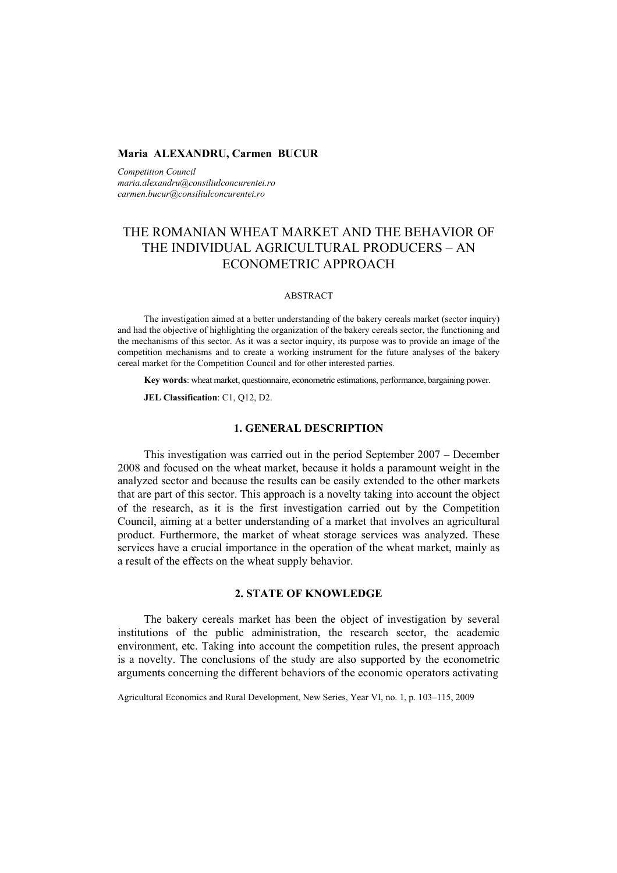## **Maria ALEXANDRU, Carmen BUCUR**

*Competition Council maria.alexandru@consiliulconcurentei.ro carmen.bucur@consiliulconcurentei.ro* 

# THE ROMANIAN WHEAT MARKET AND THE BEHAVIOR OF THE INDIVIDUAL AGRICULTURAL PRODUCERS – AN ECONOMETRIC APPROACH

#### ABSTRACT

The investigation aimed at a better understanding of the bakery cereals market (sector inquiry) and had the objective of highlighting the organization of the bakery cereals sector, the functioning and the mechanisms of this sector. As it was a sector inquiry, its purpose was to provide an image of the competition mechanisms and to create a working instrument for the future analyses of the bakery cereal market for the Competition Council and for other interested parties.

**Key words**: wheat market, questionnaire, econometric estimations, performance, bargaining power.

**JEL Classification**: C1, Q12, D2.

# **1. GENERAL DESCRIPTION**

This investigation was carried out in the period September 2007 – December 2008 and focused on the wheat market, because it holds a paramount weight in the analyzed sector and because the results can be easily extended to the other markets that are part of this sector. This approach is a novelty taking into account the object of the research, as it is the first investigation carried out by the Competition Council, aiming at a better understanding of a market that involves an agricultural product. Furthermore, the market of wheat storage services was analyzed. These services have a crucial importance in the operation of the wheat market, mainly as a result of the effects on the wheat supply behavior.

## **2. STATE OF KNOWLEDGE**

The bakery cereals market has been the object of investigation by several institutions of the public administration, the research sector, the academic environment, etc. Taking into account the competition rules, the present approach is a novelty. The conclusions of the study are also supported by the econometric arguments concerning the different behaviors of the economic operators activating

Agricultural Economics and Rural Development, New Series, Year VI, no. 1, p. 103–115, 2009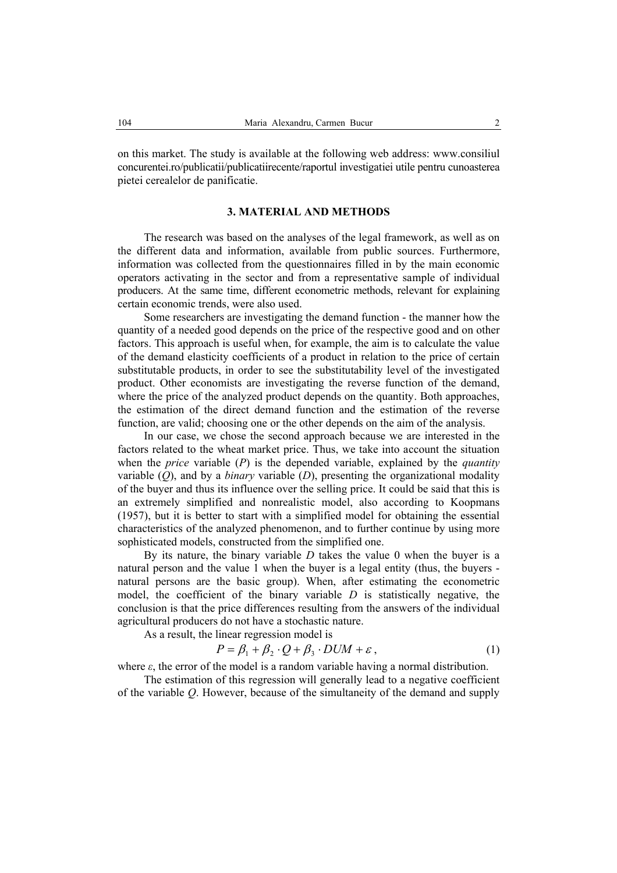on this market. The study is available at the following web address: www.consiliul concurentei.ro/publicatii/publicatiirecente/raportul investigatiei utile pentru cunoasterea pietei cerealelor de panificatie.

## **3. MATERIAL AND METHODS**

The research was based on the analyses of the legal framework, as well as on the different data and information, available from public sources. Furthermore, information was collected from the questionnaires filled in by the main economic operators activating in the sector and from a representative sample of individual producers. At the same time, different econometric methods, relevant for explaining certain economic trends, were also used.

Some researchers are investigating the demand function - the manner how the quantity of a needed good depends on the price of the respective good and on other factors. This approach is useful when, for example, the aim is to calculate the value of the demand elasticity coefficients of a product in relation to the price of certain substitutable products, in order to see the substitutability level of the investigated product. Other economists are investigating the reverse function of the demand, where the price of the analyzed product depends on the quantity. Both approaches, the estimation of the direct demand function and the estimation of the reverse function, are valid; choosing one or the other depends on the aim of the analysis.

In our case, we chose the second approach because we are interested in the factors related to the wheat market price. Thus, we take into account the situation when the *price* variable (*P*) is the depended variable, explained by the *quantity*  variable  $(O)$ , and by a *binary* variable  $(D)$ , presenting the organizational modality of the buyer and thus its influence over the selling price. It could be said that this is an extremely simplified and nonrealistic model, also according to Koopmans (1957), but it is better to start with a simplified model for obtaining the essential characteristics of the analyzed phenomenon, and to further continue by using more sophisticated models, constructed from the simplified one.

By its nature, the binary variable *D* takes the value 0 when the buyer is a natural person and the value 1 when the buyer is a legal entity (thus, the buyers natural persons are the basic group). When, after estimating the econometric model, the coefficient of the binary variable *D* is statistically negative, the conclusion is that the price differences resulting from the answers of the individual agricultural producers do not have a stochastic nature.

As a result, the linear regression model is

$$
P = \beta_1 + \beta_2 \cdot Q + \beta_3 \cdot DUM + \varepsilon, \tag{1}
$$

where  $\varepsilon$ , the error of the model is a random variable having a normal distribution.

The estimation of this regression will generally lead to a negative coefficient of the variable *Q*. However, because of the simultaneity of the demand and supply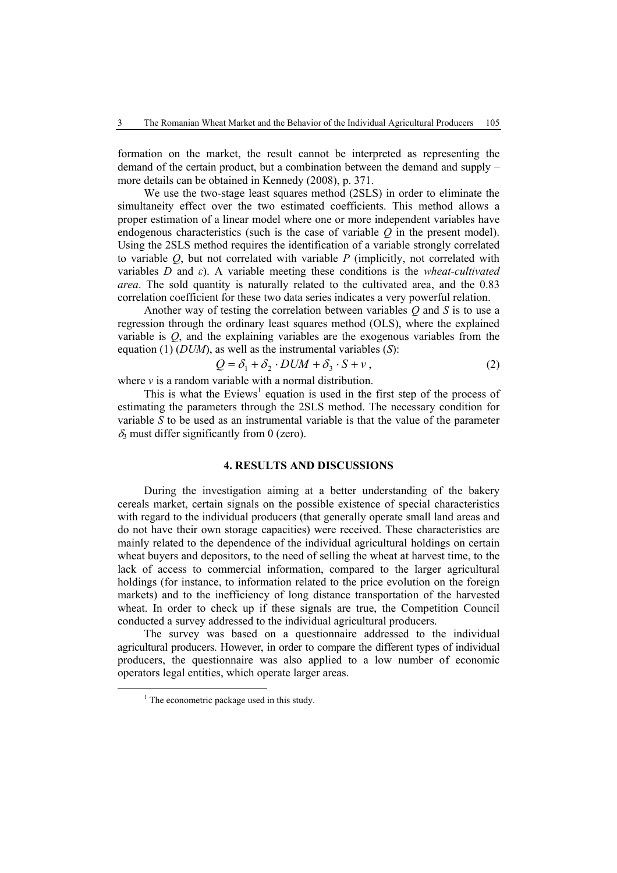formation on the market, the result cannot be interpreted as representing the demand of the certain product, but a combination between the demand and supply – more details can be obtained in Kennedy (2008), p. 371.

We use the two-stage least squares method (2SLS) in order to eliminate the simultaneity effect over the two estimated coefficients. This method allows a proper estimation of a linear model where one or more independent variables have endogenous characteristics (such is the case of variable *Q* in the present model). Using the 2SLS method requires the identification of a variable strongly correlated to variable *Q*, but not correlated with variable *P* (implicitly, not correlated with variables *D* and *ε*). A variable meeting these conditions is the *wheat-cultivated area*. The sold quantity is naturally related to the cultivated area, and the 0.83 correlation coefficient for these two data series indicates a very powerful relation.

Another way of testing the correlation between variables *Q* and *S* is to use a regression through the ordinary least squares method (OLS), where the explained variable is *Q*, and the explaining variables are the exogenous variables from the equation (1) (*DUM*), as well as the instrumental variables (*S*):

$$
Q = \delta_1 + \delta_2 \cdot DUM + \delta_3 \cdot S + v \,, \tag{2}
$$

where *v* is a random variable with a normal distribution.

This is what the Eviews<sup>1</sup> equation is used in the first step of the process of estimating the parameters through the 2SLS method. The necessary condition for variable *S* to be used as an instrumental variable is that the value of the parameter  $\delta_3$  must differ significantly from 0 (zero).

# **4. RESULTS AND DISCUSSIONS**

During the investigation aiming at a better understanding of the bakery cereals market, certain signals on the possible existence of special characteristics with regard to the individual producers (that generally operate small land areas and do not have their own storage capacities) were received. These characteristics are mainly related to the dependence of the individual agricultural holdings on certain wheat buyers and depositors, to the need of selling the wheat at harvest time, to the lack of access to commercial information, compared to the larger agricultural holdings (for instance, to information related to the price evolution on the foreign markets) and to the inefficiency of long distance transportation of the harvested wheat. In order to check up if these signals are true, the Competition Council conducted a survey addressed to the individual agricultural producers.

The survey was based on a questionnaire addressed to the individual agricultural producers. However, in order to compare the different types of individual producers, the questionnaire was also applied to a low number of economic operators legal entities, which operate larger areas.

 $\frac{1}{1}$  $1$ . The econometric package used in this study.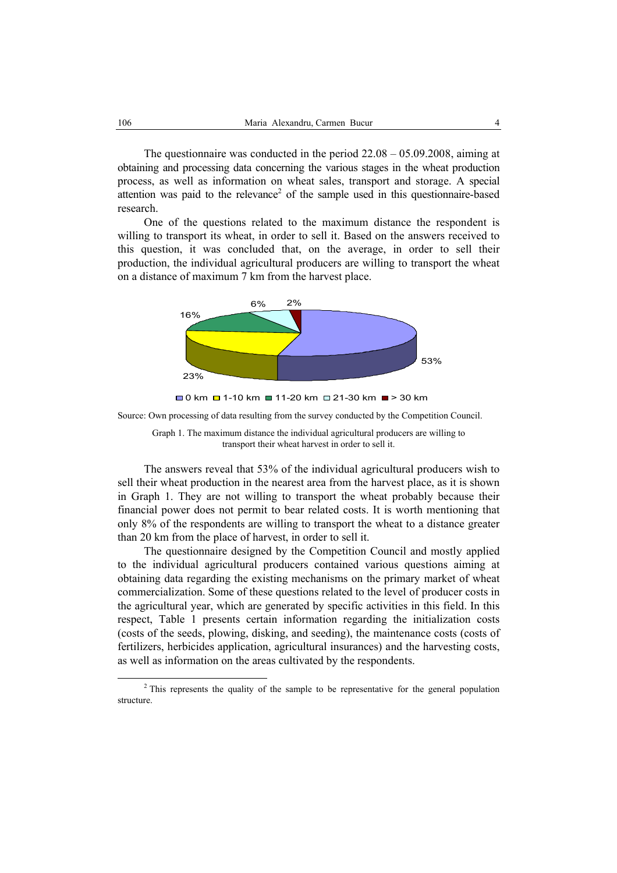The questionnaire was conducted in the period 22.08 – 05.09.2008, aiming at obtaining and processing data concerning the various stages in the wheat production process, as well as information on wheat sales, transport and storage. A special attention was paid to the relevance<sup>2</sup> of the sample used in this questionnaire-based research.

One of the questions related to the maximum distance the respondent is willing to transport its wheat, in order to sell it. Based on the answers received to this question, it was concluded that, on the average, in order to sell their production, the individual agricultural producers are willing to transport the wheat on a distance of maximum 7 km from the harvest place.





Source: Own processing of data resulting from the survey conducted by the Competition Council.



The answers reveal that 53% of the individual agricultural producers wish to sell their wheat production in the nearest area from the harvest place, as it is shown in Graph 1. They are not willing to transport the wheat probably because their financial power does not permit to bear related costs. It is worth mentioning that only 8% of the respondents are willing to transport the wheat to a distance greater than 20 km from the place of harvest, in order to sell it.

The questionnaire designed by the Competition Council and mostly applied to the individual agricultural producers contained various questions aiming at obtaining data regarding the existing mechanisms on the primary market of wheat commercialization. Some of these questions related to the level of producer costs in the agricultural year, which are generated by specific activities in this field. In this respect, Table 1 presents certain information regarding the initialization costs (costs of the seeds, plowing, disking, and seeding), the maintenance costs (costs of fertilizers, herbicides application, agricultural insurances) and the harvesting costs, as well as information on the areas cultivated by the respondents.

 <sup>2</sup>  $2$ <sup>2</sup> This represents the quality of the sample to be representative for the general population structure.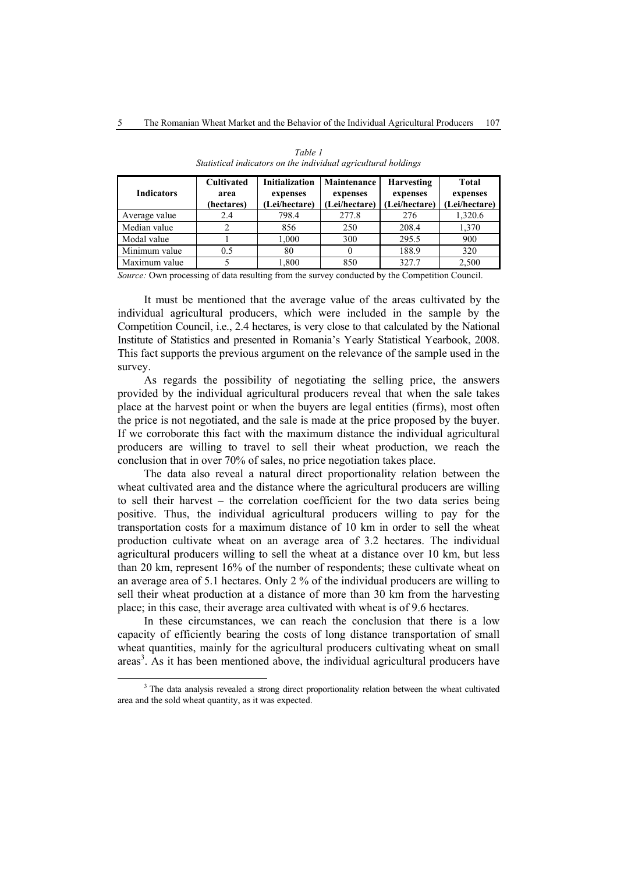| <b>Indicators</b> | <b>Cultivated</b><br>area<br>(hectares) | <b>Initialization</b><br>expenses<br>(Lei/hectare) | Maintenance<br>expenses<br>(Lei/hectare) | <b>Harvesting</b><br>expenses<br>(Lei/hectare) | <b>Total</b><br>expenses<br>(Lei/hectare) |
|-------------------|-----------------------------------------|----------------------------------------------------|------------------------------------------|------------------------------------------------|-------------------------------------------|
| Average value     | 2.4                                     | 798.4                                              | 277.8                                    | 276                                            | 1,320.6                                   |
| Median value      |                                         | 856                                                | 250                                      | 208.4                                          | 1,370                                     |
| Modal value       |                                         | 1.000                                              | 300                                      | 295.5                                          | 900                                       |
| Minimum value     | 0.5                                     | 80                                                 |                                          | 188.9                                          | 320                                       |
| Maximum value     |                                         | 1.800                                              | 850                                      | 327.7                                          | 2,500                                     |

*Table 1 Statistical indicators on the individual agricultural holdings* 

*Source:* Own processing of data resulting from the survey conducted by the Competition Council.

It must be mentioned that the average value of the areas cultivated by the individual agricultural producers, which were included in the sample by the Competition Council, i.e., 2.4 hectares, is very close to that calculated by the National Institute of Statistics and presented in Romania's Yearly Statistical Yearbook, 2008. This fact supports the previous argument on the relevance of the sample used in the survey.

As regards the possibility of negotiating the selling price, the answers provided by the individual agricultural producers reveal that when the sale takes place at the harvest point or when the buyers are legal entities (firms), most often the price is not negotiated, and the sale is made at the price proposed by the buyer. If we corroborate this fact with the maximum distance the individual agricultural producers are willing to travel to sell their wheat production, we reach the conclusion that in over 70% of sales, no price negotiation takes place.

The data also reveal a natural direct proportionality relation between the wheat cultivated area and the distance where the agricultural producers are willing to sell their harvest – the correlation coefficient for the two data series being positive. Thus, the individual agricultural producers willing to pay for the transportation costs for a maximum distance of 10 km in order to sell the wheat production cultivate wheat on an average area of 3.2 hectares. The individual agricultural producers willing to sell the wheat at a distance over 10 km, but less than 20 km, represent 16% of the number of respondents; these cultivate wheat on an average area of 5.1 hectares. Only 2 % of the individual producers are willing to sell their wheat production at a distance of more than 30 km from the harvesting place; in this case, their average area cultivated with wheat is of 9.6 hectares.

In these circumstances, we can reach the conclusion that there is a low capacity of efficiently bearing the costs of long distance transportation of small wheat quantities, mainly for the agricultural producers cultivating wheat on small areas<sup>3</sup>. As it has been mentioned above, the individual agricultural producers have

 $\frac{3}{3}$ <sup>3</sup> The data analysis revealed a strong direct proportionality relation between the wheat cultivated area and the sold wheat quantity, as it was expected.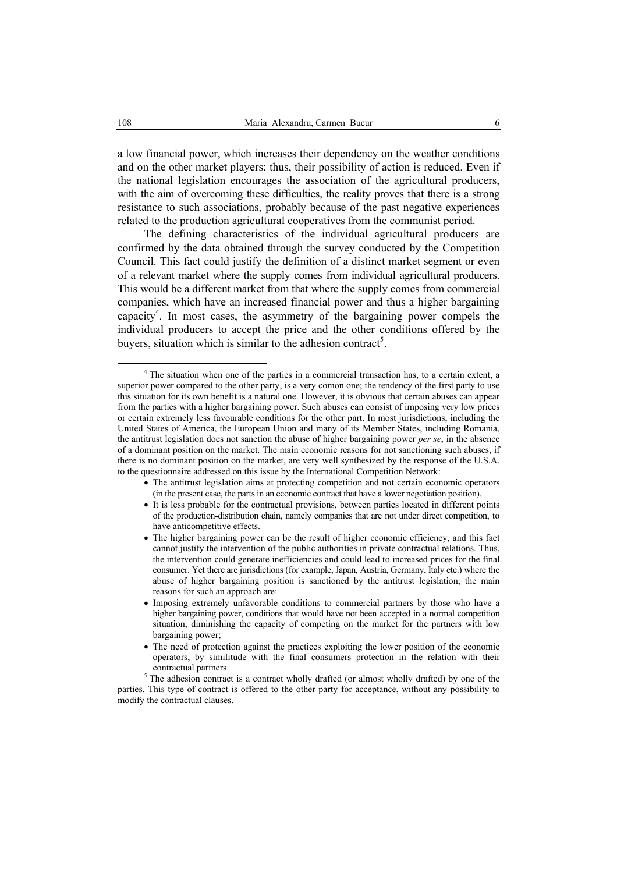a low financial power, which increases their dependency on the weather conditions and on the other market players; thus, their possibility of action is reduced. Even if the national legislation encourages the association of the agricultural producers, with the aim of overcoming these difficulties, the reality proves that there is a strong resistance to such associations, probably because of the past negative experiences related to the production agricultural cooperatives from the communist period.

The defining characteristics of the individual agricultural producers are confirmed by the data obtained through the survey conducted by the Competition Council. This fact could justify the definition of a distinct market segment or even of a relevant market where the supply comes from individual agricultural producers. This would be a different market from that where the supply comes from commercial companies, which have an increased financial power and thus a higher bargaining capacity<sup>4</sup>. In most cases, the asymmetry of the bargaining power compels the individual producers to accept the price and the other conditions offered by the buyers, situation which is similar to the adhesion contract<sup>5</sup>.

- The antitrust legislation aims at protecting competition and not certain economic operators (in the present case, the parts in an economic contract that have a lower negotiation position).
- It is less probable for the contractual provisions, between parties located in different points of the production-distribution chain, namely companies that are not under direct competition, to have anticompetitive effects.
- The higher bargaining power can be the result of higher economic efficiency, and this fact cannot justify the intervention of the public authorities in private contractual relations. Thus, the intervention could generate inefficiencies and could lead to increased prices for the final consumer. Yet there are jurisdictions (for example, Japan, Austria, Germany, Italy etc.) where the abuse of higher bargaining position is sanctioned by the antitrust legislation; the main reasons for such an approach are:
- Imposing extremely unfavorable conditions to commercial partners by those who have a higher bargaining power, conditions that would have not been accepted in a normal competition situation, diminishing the capacity of competing on the market for the partners with low bargaining power;
- The need of protection against the practices exploiting the lower position of the economic operators, by similitude with the final consumers protection in the relation with their contractual partners.

 $5$  The adhesion contract is a contract wholly drafted (or almost wholly drafted) by one of the parties. This type of contract is offered to the other party for acceptance, without any possibility to modify the contractual clauses.

 $\overline{4}$ <sup>4</sup> The situation when one of the parties in a commercial transaction has, to a certain extent, a superior power compared to the other party, is a very comon one; the tendency of the first party to use this situation for its own benefit is a natural one. However, it is obvious that certain abuses can appear from the parties with a higher bargaining power. Such abuses can consist of imposing very low prices or certain extremely less favourable conditions for the other part. In most jurisdictions, including the United States of America, the European Union and many of its Member States, including Romania, the antitrust legislation does not sanction the abuse of higher bargaining power *per se*, in the absence of a dominant position on the market. The main economic reasons for not sanctioning such abuses, if there is no dominant position on the market, are very well synthesized by the response of the U.S.A. to the questionnaire addressed on this issue by the International Competition Network: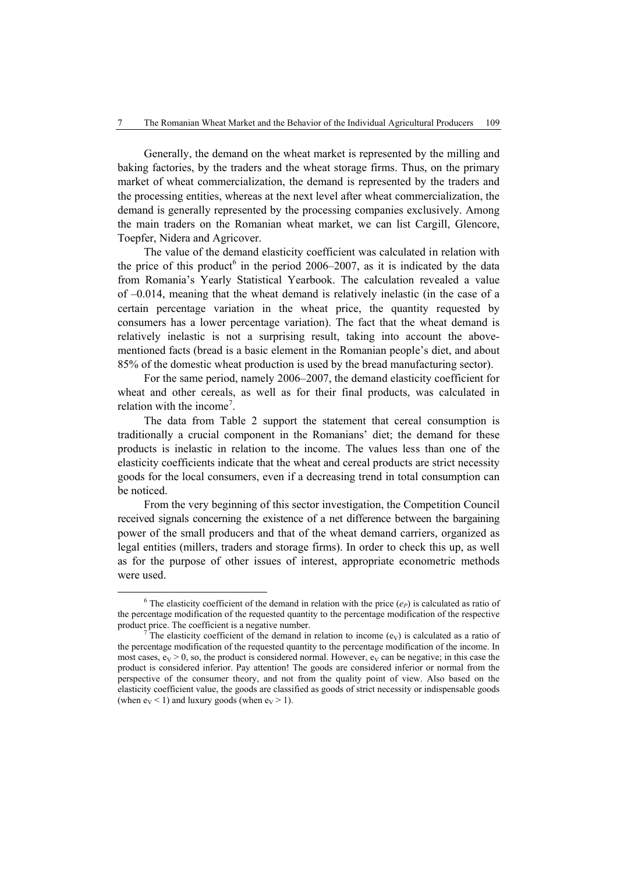Generally, the demand on the wheat market is represented by the milling and baking factories, by the traders and the wheat storage firms. Thus, on the primary market of wheat commercialization, the demand is represented by the traders and the processing entities, whereas at the next level after wheat commercialization, the demand is generally represented by the processing companies exclusively. Among the main traders on the Romanian wheat market, we can list Cargill, Glencore, Toepfer, Nidera and Agricover.

The value of the demand elasticity coefficient was calculated in relation with the price of this product<sup>6</sup> in the period 2006–2007, as it is indicated by the data from Romania's Yearly Statistical Yearbook. The calculation revealed a value of –0.014, meaning that the wheat demand is relatively inelastic (in the case of a certain percentage variation in the wheat price, the quantity requested by consumers has a lower percentage variation). The fact that the wheat demand is relatively inelastic is not a surprising result, taking into account the abovementioned facts (bread is a basic element in the Romanian people's diet, and about 85% of the domestic wheat production is used by the bread manufacturing sector).

For the same period, namely 2006–2007, the demand elasticity coefficient for wheat and other cereals, as well as for their final products, was calculated in relation with the income<sup>7</sup>.

The data from Table 2 support the statement that cereal consumption is traditionally a crucial component in the Romanians' diet; the demand for these products is inelastic in relation to the income. The values less than one of the elasticity coefficients indicate that the wheat and cereal products are strict necessity goods for the local consumers, even if a decreasing trend in total consumption can be noticed.

From the very beginning of this sector investigation, the Competition Council received signals concerning the existence of a net difference between the bargaining power of the small producers and that of the wheat demand carriers, organized as legal entities (millers, traders and storage firms). In order to check this up, as well as for the purpose of other issues of interest, appropriate econometric methods were used.

 $\overline{6}$ <sup>6</sup> The elasticity coefficient of the demand in relation with the price  $(e_P)$  is calculated as ratio of the percentage modification of the requested quantity to the percentage modification of the respective product price. The coefficient is a negative number.

The elasticity coefficient of the demand in relation to income  $(e_V)$  is calculated as a ratio of the percentage modification of the requested quantity to the percentage modification of the income. In most cases,  $e_V > 0$ , so, the product is considered normal. However,  $e_V$  can be negative; in this case the product is considered inferior. Pay attention! The goods are considered inferior or normal from the perspective of the consumer theory, and not from the quality point of view. Also based on the elasticity coefficient value, the goods are classified as goods of strict necessity or indispensable goods (when  $e_V < 1$ ) and luxury goods (when  $e_V > 1$ ).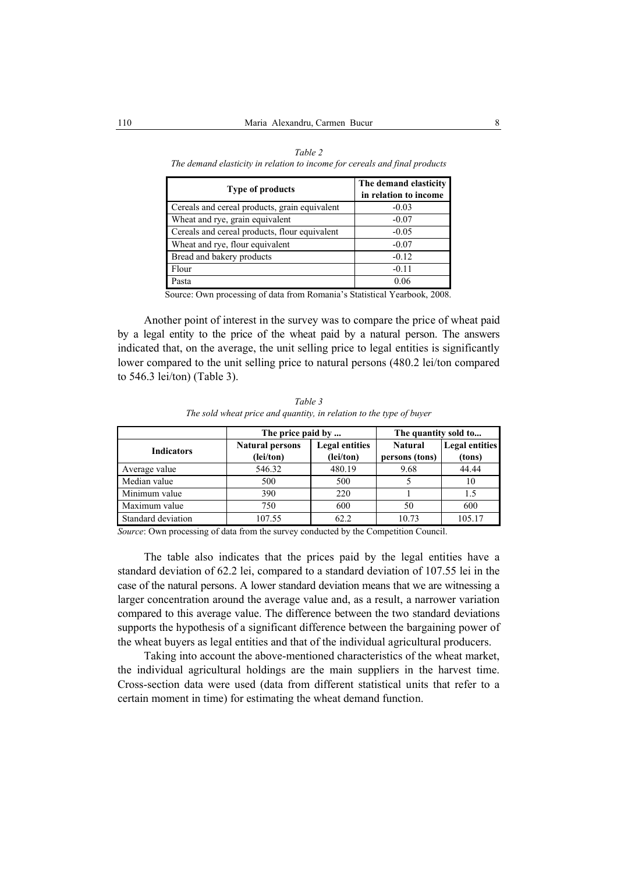| <b>Type of products</b>                       | The demand elasticity<br>in relation to income |
|-----------------------------------------------|------------------------------------------------|
| Cereals and cereal products, grain equivalent | $-0.03$                                        |
| Wheat and rye, grain equivalent               | $-0.07$                                        |
| Cereals and cereal products, flour equivalent | $-0.05$                                        |
| Wheat and rye, flour equivalent               | $-0.07$                                        |
| Bread and bakery products                     | $-0.12$                                        |
| Flour                                         | $-0.11$                                        |
| Pasta                                         | 0.06                                           |

*Table 2 The demand elasticity in relation to income for cereals and final products* 

Source: Own processing of data from Romania's Statistical Yearbook, 2008.

Another point of interest in the survey was to compare the price of wheat paid by a legal entity to the price of the wheat paid by a natural person. The answers indicated that, on the average, the unit selling price to legal entities is significantly lower compared to the unit selling price to natural persons (480.2 lei/ton compared to 546.3 lei/ton) (Table 3).

|                    | The price paid by      |                       | The quantity sold to |                       |  |
|--------------------|------------------------|-----------------------|----------------------|-----------------------|--|
| <b>Indicators</b>  | <b>Natural persons</b> | <b>Legal entities</b> | <b>Natural</b>       | <b>Legal entities</b> |  |
|                    | (lei/ton)              | (lei/ton)             | persons (tons)       | (tons)                |  |
| Average value      | 546.32                 | 480.19                | 9.68                 | 44.44                 |  |
| Median value       | 500                    | 500                   |                      | 10                    |  |
| Minimum value      | 390                    | 220                   |                      | 1.5                   |  |
| Maximum value      | 750                    | 600                   | 50                   | 600                   |  |
| Standard deviation | 107.55                 | 62.2                  | 10.73                | 105.17                |  |

*Table 3 The sold wheat price and quantity, in relation to the type of buyer* 

*Source*: Own processing of data from the survey conducted by the Competition Council.

The table also indicates that the prices paid by the legal entities have a standard deviation of 62.2 lei, compared to a standard deviation of 107.55 lei in the case of the natural persons. A lower standard deviation means that we are witnessing a larger concentration around the average value and, as a result, a narrower variation compared to this average value. The difference between the two standard deviations supports the hypothesis of a significant difference between the bargaining power of the wheat buyers as legal entities and that of the individual agricultural producers.

Taking into account the above-mentioned characteristics of the wheat market, the individual agricultural holdings are the main suppliers in the harvest time. Cross-section data were used (data from different statistical units that refer to a certain moment in time) for estimating the wheat demand function.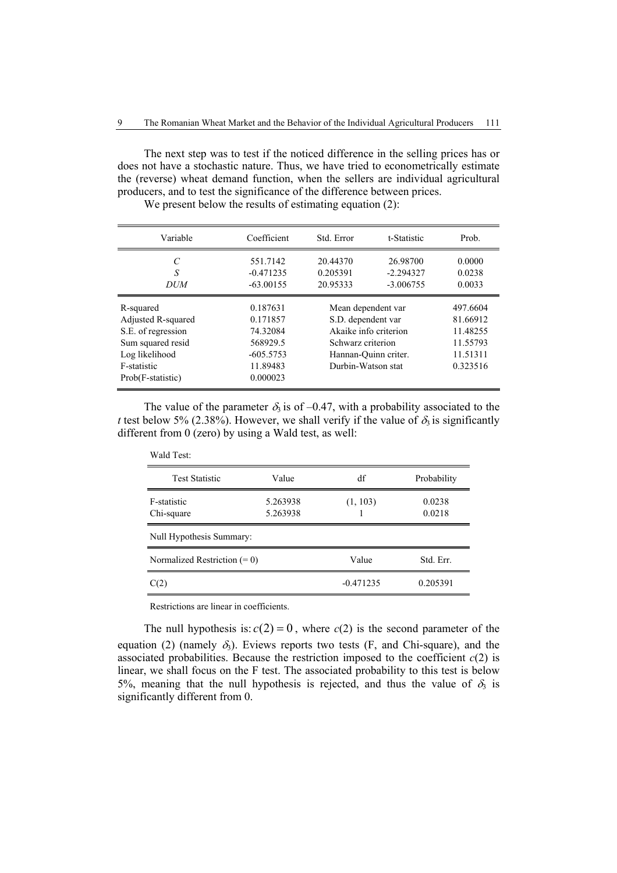The next step was to test if the noticed difference in the selling prices has or does not have a stochastic nature. Thus, we have tried to econometrically estimate the (reverse) wheat demand function, when the sellers are individual agricultural producers, and to test the significance of the difference between prices.

| Variable                                                                                                                         | Coefficient                                                                         | Std. Error                                                                                                                           | t-Statistic                            | Prob.                                                                |
|----------------------------------------------------------------------------------------------------------------------------------|-------------------------------------------------------------------------------------|--------------------------------------------------------------------------------------------------------------------------------------|----------------------------------------|----------------------------------------------------------------------|
| $\mathcal{C}_{\mathcal{C}}$<br>S<br><b>DUM</b>                                                                                   | 551.7142<br>$-0.471235$<br>$-63.00155$                                              | 20.44370<br>0.205391<br>20.95333                                                                                                     | 26.98700<br>$-2.294327$<br>$-3.006755$ | 0.0000<br>0.0238<br>0.0033                                           |
| R-squared<br>Adjusted R-squared<br>S.E. of regression<br>Sum squared resid<br>Log likelihood<br>F-statistic<br>Prob(F-statistic) | 0.187631<br>0.171857<br>74.32084<br>568929.5<br>$-605.5753$<br>11.89483<br>0.000023 | Mean dependent var<br>S.D. dependent var<br>Akaike info criterion<br>Schwarz criterion<br>Hannan-Quinn criter.<br>Durbin-Watson stat |                                        | 497.6604<br>81.66912<br>11.48255<br>11.55793<br>11.51311<br>0.323516 |

We present below the results of estimating equation (2):

The value of the parameter  $\delta_3$  is of -0.47, with a probability associated to the *t* test below 5% (2.38%). However, we shall verify if the value of  $\delta_3$  is significantly different from 0 (zero) by using a Wald test, as well:

| Wald Test:                     |                      |             |                  |  |  |
|--------------------------------|----------------------|-------------|------------------|--|--|
| <b>Test Statistic</b>          | Value                | df          | Probability      |  |  |
| F-statistic<br>Chi-square      | 5.263938<br>5.263938 | (1, 103)    | 0.0238<br>0.0218 |  |  |
| Null Hypothesis Summary:       |                      |             |                  |  |  |
| Normalized Restriction $(= 0)$ |                      | Value       | Std. Err.        |  |  |
| C(2)                           |                      | $-0.471235$ | 0.205391         |  |  |

Restrictions are linear in coefficients.

The null hypothesis is:  $c(2) = 0$ , where  $c(2)$  is the second parameter of the equation (2) (namely  $\delta_3$ ). Eviews reports two tests (F, and Chi-square), and the associated probabilities. Because the restriction imposed to the coefficient  $c(2)$  is linear, we shall focus on the F test. The associated probability to this test is below 5%, meaning that the null hypothesis is rejected, and thus the value of  $\delta_3$  is significantly different from 0.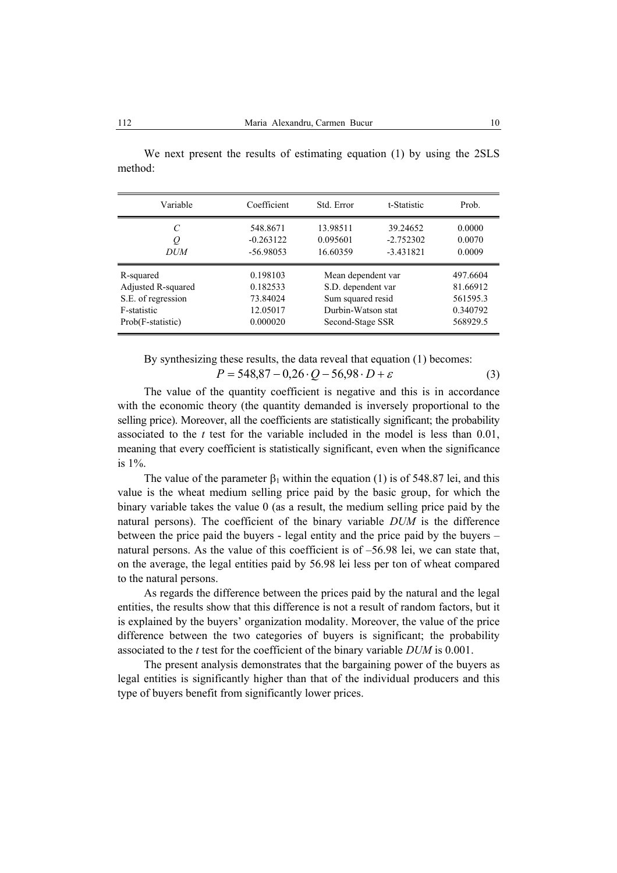| Variable           | Coefficient | Std. Error         | t-Statistic | Prob.    |
|--------------------|-------------|--------------------|-------------|----------|
| C                  | 548.8671    | 13.98511           | 39.24652    | 0.0000   |
| Q                  | $-0.263122$ | 0.095601           | $-2.752302$ | 0.0070   |
| DUM                | $-56.98053$ | 16.60359           | $-3.431821$ | 0.0009   |
| R-squared          | 0.198103    | Mean dependent var |             | 497.6604 |
| Adjusted R-squared | 0.182533    | S.D. dependent var |             | 81.66912 |
| S.E. of regression | 73.84024    | Sum squared resid  |             | 561595.3 |
| F-statistic        | 12.05017    | Durbin-Watson stat |             | 0.340792 |
| Prob(F-statistic)  | 0.000020    | Second-Stage SSR   |             | 568929.5 |

We next present the results of estimating equation (1) by using the 2SLS method:

By synthesizing these results, the data reveal that equation (1) becomes:

$$
P = 548,87 - 0,26 \cdot Q - 56,98 \cdot D + \varepsilon \tag{3}
$$

The value of the quantity coefficient is negative and this is in accordance with the economic theory (the quantity demanded is inversely proportional to the selling price). Moreover, all the coefficients are statistically significant; the probability associated to the *t* test for the variable included in the model is less than 0.01, meaning that every coefficient is statistically significant, even when the significance is 1%.

The value of the parameter  $\beta_1$  within the equation (1) is of 548.87 lei, and this value is the wheat medium selling price paid by the basic group, for which the binary variable takes the value 0 (as a result, the medium selling price paid by the natural persons). The coefficient of the binary variable *DUM* is the difference between the price paid the buyers - legal entity and the price paid by the buyers – natural persons. As the value of this coefficient is of –56.98 lei, we can state that, on the average, the legal entities paid by 56.98 lei less per ton of wheat compared to the natural persons.

As regards the difference between the prices paid by the natural and the legal entities, the results show that this difference is not a result of random factors, but it is explained by the buyers' organization modality. Moreover, the value of the price difference between the two categories of buyers is significant; the probability associated to the *t* test for the coefficient of the binary variable *DUM* is 0.001.

The present analysis demonstrates that the bargaining power of the buyers as legal entities is significantly higher than that of the individual producers and this type of buyers benefit from significantly lower prices.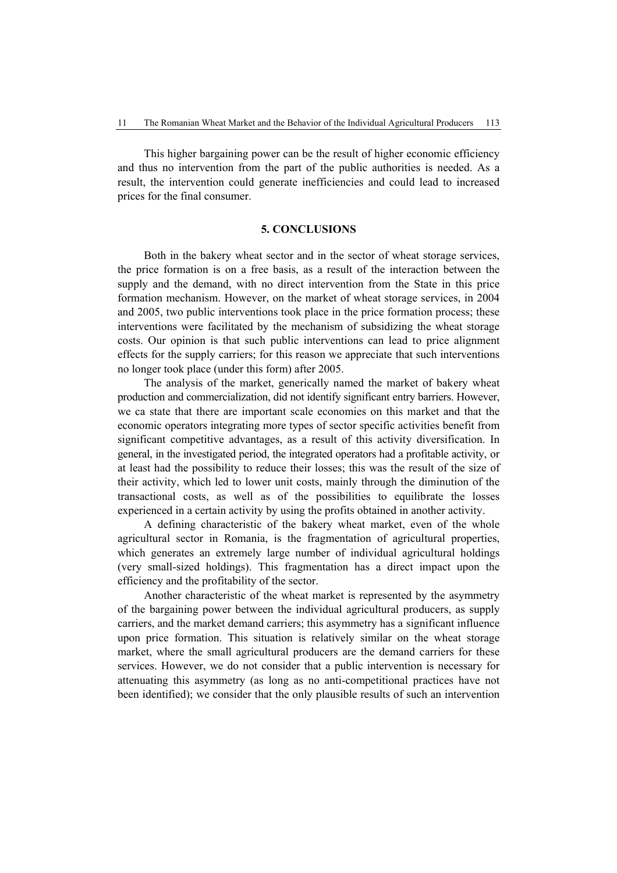This higher bargaining power can be the result of higher economic efficiency and thus no intervention from the part of the public authorities is needed. As a result, the intervention could generate inefficiencies and could lead to increased prices for the final consumer.

### **5. CONCLUSIONS**

Both in the bakery wheat sector and in the sector of wheat storage services, the price formation is on a free basis, as a result of the interaction between the supply and the demand, with no direct intervention from the State in this price formation mechanism. However, on the market of wheat storage services, in 2004 and 2005, two public interventions took place in the price formation process; these interventions were facilitated by the mechanism of subsidizing the wheat storage costs. Our opinion is that such public interventions can lead to price alignment effects for the supply carriers; for this reason we appreciate that such interventions no longer took place (under this form) after 2005.

The analysis of the market, generically named the market of bakery wheat production and commercialization, did not identify significant entry barriers. However, we ca state that there are important scale economies on this market and that the economic operators integrating more types of sector specific activities benefit from significant competitive advantages, as a result of this activity diversification. In general, in the investigated period, the integrated operators had a profitable activity, or at least had the possibility to reduce their losses; this was the result of the size of their activity, which led to lower unit costs, mainly through the diminution of the transactional costs, as well as of the possibilities to equilibrate the losses experienced in a certain activity by using the profits obtained in another activity.

A defining characteristic of the bakery wheat market, even of the whole agricultural sector in Romania, is the fragmentation of agricultural properties, which generates an extremely large number of individual agricultural holdings (very small-sized holdings). This fragmentation has a direct impact upon the efficiency and the profitability of the sector.

Another characteristic of the wheat market is represented by the asymmetry of the bargaining power between the individual agricultural producers, as supply carriers, and the market demand carriers; this asymmetry has a significant influence upon price formation. This situation is relatively similar on the wheat storage market, where the small agricultural producers are the demand carriers for these services. However, we do not consider that a public intervention is necessary for attenuating this asymmetry (as long as no anti-competitional practices have not been identified); we consider that the only plausible results of such an intervention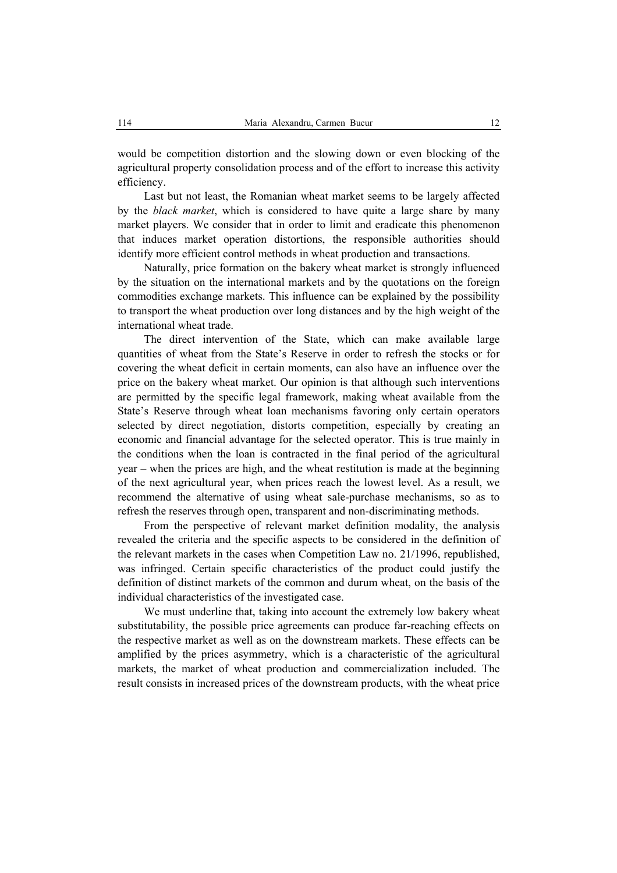would be competition distortion and the slowing down or even blocking of the agricultural property consolidation process and of the effort to increase this activity efficiency.

Last but not least, the Romanian wheat market seems to be largely affected by the *black market*, which is considered to have quite a large share by many market players. We consider that in order to limit and eradicate this phenomenon that induces market operation distortions, the responsible authorities should identify more efficient control methods in wheat production and transactions.

Naturally, price formation on the bakery wheat market is strongly influenced by the situation on the international markets and by the quotations on the foreign commodities exchange markets. This influence can be explained by the possibility to transport the wheat production over long distances and by the high weight of the international wheat trade.

The direct intervention of the State, which can make available large quantities of wheat from the State's Reserve in order to refresh the stocks or for covering the wheat deficit in certain moments, can also have an influence over the price on the bakery wheat market. Our opinion is that although such interventions are permitted by the specific legal framework, making wheat available from the State's Reserve through wheat loan mechanisms favoring only certain operators selected by direct negotiation, distorts competition, especially by creating an economic and financial advantage for the selected operator. This is true mainly in the conditions when the loan is contracted in the final period of the agricultural year – when the prices are high, and the wheat restitution is made at the beginning of the next agricultural year, when prices reach the lowest level. As a result, we recommend the alternative of using wheat sale-purchase mechanisms, so as to refresh the reserves through open, transparent and non-discriminating methods.

From the perspective of relevant market definition modality, the analysis revealed the criteria and the specific aspects to be considered in the definition of the relevant markets in the cases when Competition Law no. 21/1996, republished, was infringed. Certain specific characteristics of the product could justify the definition of distinct markets of the common and durum wheat, on the basis of the individual characteristics of the investigated case.

We must underline that, taking into account the extremely low bakery wheat substitutability, the possible price agreements can produce far-reaching effects on the respective market as well as on the downstream markets. These effects can be amplified by the prices asymmetry, which is a characteristic of the agricultural markets, the market of wheat production and commercialization included. The result consists in increased prices of the downstream products, with the wheat price